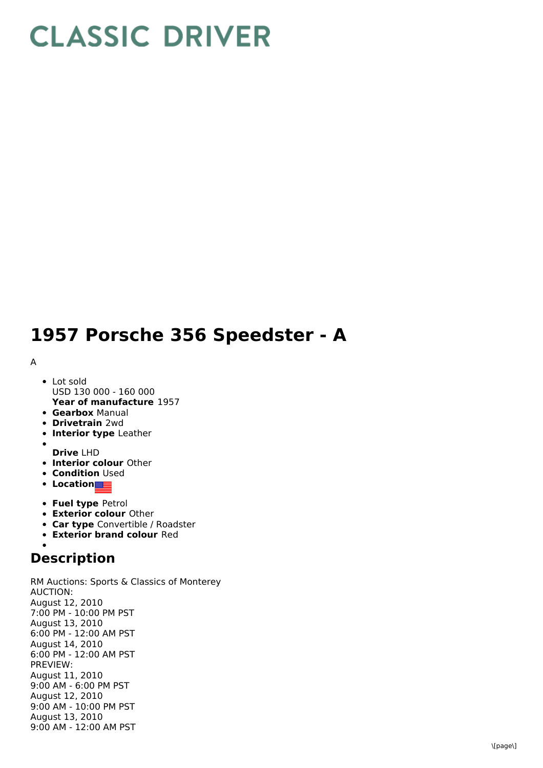## **CLASSIC DRIVER**

## **1957 Porsche 356 Speedster - A**

## A

- **Year of manufacture** 1957 • Lot sold USD 130 000 - 160 000
- **Gearbox** Manual
- **Drivetrain** 2wd
- **Interior type** Leather
- **Drive** LHD
- **Interior colour** Other
- **Condition Used**
- **•** Location
- **Fuel type** Petrol
- **Exterior colour** Other
- **Car type** Convertible / Roadster
- **Exterior brand colour** Red

## **Description**

RM Auctions: Sports & Classics of Monterey AUCTION: August 12, 2010 7:00 PM - 10:00 PM PST August 13, 2010 6:00 PM - 12:00 AM PST August 14, 2010 6:00 PM - 12:00 AM PST PREVIEW: August 11, 2010 9:00 AM - 6:00 PM PST August 12, 2010 9:00 AM - 10:00 PM PST August 13, 2010 9:00 AM - 12:00 AM PST